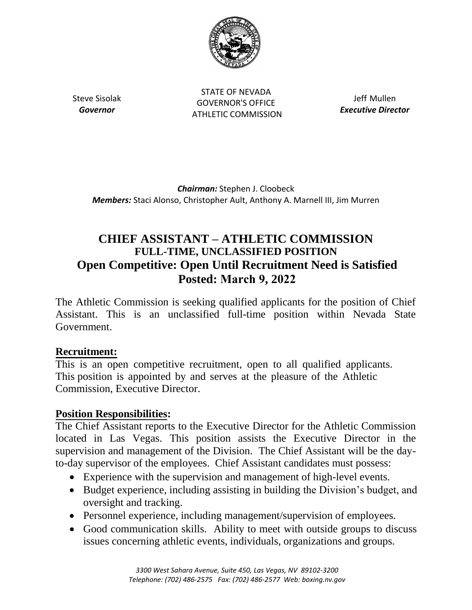

Steve Sisolak *Governor*

STATE OF NEVADA GOVERNOR'S OFFICE ATHLETIC COMMISSION

Jeff Mullen *Executive Director* 

*Chairman:* Stephen J. Cloobeck *Members:* Staci Alonso, Christopher Ault, Anthony A. Marnell III, Jim Murren

# **CHIEF ASSISTANT – ATHLETIC COMMISSION FULL-TIME, UNCLASSIFIED POSITION Open Competitive: Open Until Recruitment Need is Satisfied Posted: March 9, 2022**

The Athletic Commission is seeking qualified applicants for the position of Chief Assistant. This is an unclassified full-time position within Nevada State Government.

### **Recruitment:**

This is an open competitive recruitment, open to all qualified applicants. This position is appointed by and serves at the pleasure of the Athletic Commission, Executive Director.

### **Position Responsibilities:**

The Chief Assistant reports to the Executive Director for the Athletic Commission located in Las Vegas. This position assists the Executive Director in the supervision and management of the Division. The Chief Assistant will be the dayto-day supervisor of the employees. Chief Assistant candidates must possess:

- Experience with the supervision and management of high-level events.
- Budget experience, including assisting in building the Division's budget, and oversight and tracking.
- Personnel experience, including management/supervision of employees.
- Good communication skills. Ability to meet with outside groups to discuss issues concerning athletic events, individuals, organizations and groups.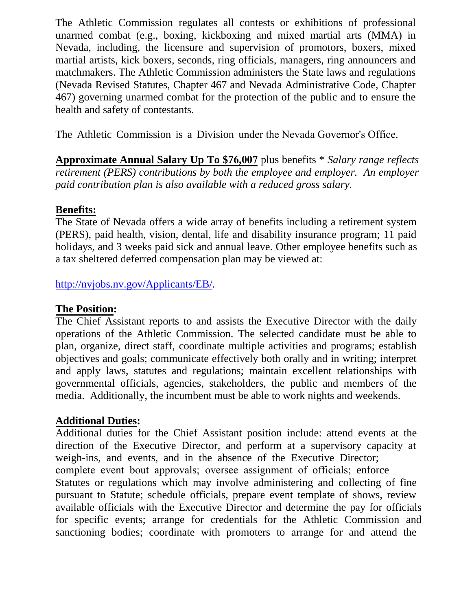The Athletic Commission regulates all contests or exhibitions of professional unarmed combat (e.g., boxing, kickboxing and mixed martial arts (MMA) in Nevada, including, the licensure and supervision of promotors, boxers, mixed martial artists, kick boxers, seconds, ring officials, managers, ring announcers and matchmakers. The Athletic Commission administers the State laws and regulations (Nevada Revised Statutes, Chapter 467 and Nevada Administrative Code, Chapter 467) governing unarmed combat for the protection of the public and to ensure the health and safety of contestants.

The Athletic Commission is a Division under the Nevada Governor's Office.

**Approximate Annual Salary Up To \$76,007** plus benefits \* *Salary range reflects retirement (PERS) contributions by both the employee and employer. An employer paid contribution plan is also available with a reduced gross salary.* 

### **Benefits:**

The State of Nevada offers a wide array of benefits including a retirement system (PERS), paid health, vision, dental, life and disability insurance program; 11 paid holidays, and 3 weeks paid sick and annual leave. Other employee benefits such as a tax sheltered deferred compensation plan may be viewed at:

http://nvjobs.nv.gov/Applicants/EB/.

### **The Position:**

The Chief Assistant reports to and assists the Executive Director with the daily operations of the Athletic Commission. The selected candidate must be able to [plan, organize, direct staff, coordina](http://nvjobs.nv.gov/Applicants/EB/)te multiple activities and programs; establish objectives and goals; communicate effectively both orally and in writing; interpret and apply laws, statutes and regulations; maintain excellent relationships with governmental officials, agencies, stakeholders, the public and members of the media. Additionally, the incumbent must be able to work nights and weekends.

### **Additional Duties:**

Additional duties for the Chief Assistant position include: attend events at the direction of the Executive Director, and perform at a supervisory capacity at weigh-ins, and events, and in the absence of the Executive Director; complete event bout approvals; oversee assignment of officials; enforce Statutes or regulations which may involve administering and collecting of fine pursuant to Statute; schedule officials, prepare event template of shows, review available officials with the Executive Director and determine the pay for officials for specific events; arrange for credentials for the Athletic Commission and sanctioning bodies; coordinate with promoters to arrange for and attend the